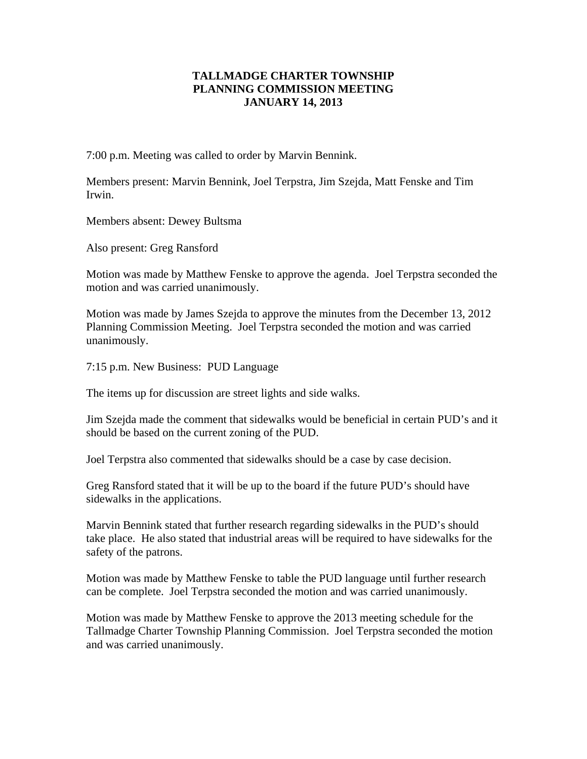## **TALLMADGE CHARTER TOWNSHIP PLANNING COMMISSION MEETING JANUARY 14, 2013**

7:00 p.m. Meeting was called to order by Marvin Bennink.

Members present: Marvin Bennink, Joel Terpstra, Jim Szejda, Matt Fenske and Tim Irwin.

Members absent: Dewey Bultsma

Also present: Greg Ransford

Motion was made by Matthew Fenske to approve the agenda. Joel Terpstra seconded the motion and was carried unanimously.

Motion was made by James Szejda to approve the minutes from the December 13, 2012 Planning Commission Meeting. Joel Terpstra seconded the motion and was carried unanimously.

7:15 p.m. New Business: PUD Language

The items up for discussion are street lights and side walks.

Jim Szejda made the comment that sidewalks would be beneficial in certain PUD's and it should be based on the current zoning of the PUD.

Joel Terpstra also commented that sidewalks should be a case by case decision.

Greg Ransford stated that it will be up to the board if the future PUD's should have sidewalks in the applications.

Marvin Bennink stated that further research regarding sidewalks in the PUD's should take place. He also stated that industrial areas will be required to have sidewalks for the safety of the patrons.

Motion was made by Matthew Fenske to table the PUD language until further research can be complete. Joel Terpstra seconded the motion and was carried unanimously.

Motion was made by Matthew Fenske to approve the 2013 meeting schedule for the Tallmadge Charter Township Planning Commission. Joel Terpstra seconded the motion and was carried unanimously.